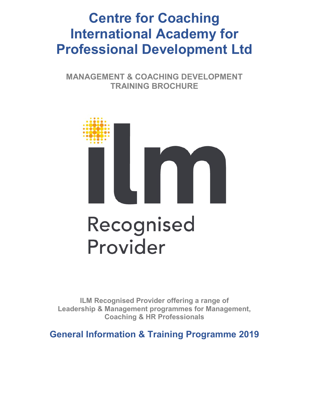# **Centre for Coaching International Academy for Professional Development Ltd**

**MANAGEMENT & COACHING DEVELOPMENT TRAINING BROCHURE**



**ILM Recognised Provider offering a range of Leadership & Management programmes for Management, Coaching & HR Professionals**

**General Information & Training Programme 2019**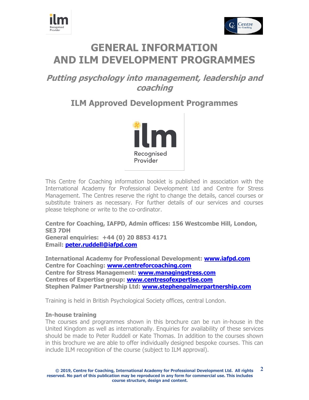



# **GENERAL INFORMATION AND ILM DEVELOPMENT PROGRAMMES**

## **Putting psychology into management, leadership and coaching**

## **ILM Approved Development Programmes**



This Centre for Coaching information booklet is published in association with the International Academy for Professional Development Ltd and Centre for Stress Management. The Centres reserve the right to change the details, cancel courses or substitute trainers as necessary. For further details of our services and courses please telephone or write to the co-ordinator.

**Centre for Coaching, IAFPD, Admin offices: 156 Westcombe Hill, London, SE3 7DH General enquiries: +44 (0) 20 8853 4171**

**Email: [peter.ruddell@iafpd.com](mailto:peter.ruddell@iafpd.com)**

**International Academy for Professional Development: [www.iafpd.com](http://www.iafpd.com/) Centre for Coaching: [www.centreforcoaching.com](http://www.centreforcoaching.com/) Centre for Stress Management: [www.managingstress.com](http://www.managingstress.com/) Centres of Expertise group: [www.centresofexpertise.com](http://www.centresofexpertise.com/) Stephen Palmer Partnership Ltd: [www.stephenpalmerpartnership.com](http://www.stephenpalmerpartnership.com/)**

Training is held in British Psychological Society offices, central London.

#### **In-house training**

The courses and programmes shown in this brochure can be run in-house in the United Kingdom as well as internationally. Enquiries for availability of these services should be made to Peter Ruddell or Kate Thomas. In addition to the courses shown in this brochure we are able to offer individually designed bespoke courses. This can include ILM recognition of the course (subject to ILM approval).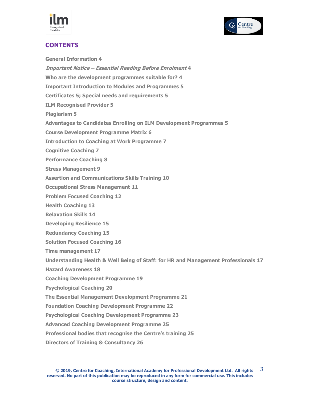



## **CONTENTS**

**General Information 4 Important Notice – Essential Reading Before Enrolment 4 Who are the development programmes suitable for? 4 Important Introduction to Modules and Programmes 5 Certificates 5; Special needs and requirements 5 ILM Recognised Provider 5 Plagiarism 5 Advantages to Candidates Enrolling on ILM Development Programmes 5 Course Development Programme Matrix 6 Introduction to Coaching at Work Programme 7 Cognitive Coaching 7 Performance Coaching 8 Stress Management 9 Assertion and Communications Skills Training 10 Occupational Stress Management 11 Problem Focused Coaching 12 Health Coaching 13 Relaxation Skills 14 Developing Resilience 15 Redundancy Coaching 15 Solution Focused Coaching 16 Time management 17 Understanding Health & Well Being of Staff: for HR and Management Professionals 17 Hazard Awareness 18 Coaching Development Programme 19 Psychological Coaching 20 The Essential Management Development Programme 21 Foundation Coaching Development Programme 22 Psychological Coaching Development Programme 23 Advanced Coaching Development Programme 25 Professional bodies that recognise the Centre's training 25**

**Directors of Training & Consultancy 26**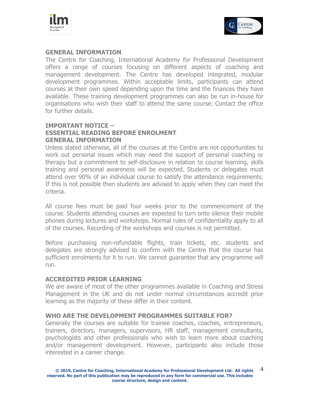



## **GENERAL INFORMATION**

The Centre for Coaching, International Academy for Professional Development offers a range of courses focusing on different aspects of coaching and management development. The Centre has developed integrated, modular development programmes. Within acceptable limits, participants can attend courses at their own speed depending upon the time and the finances they have available. These training development programmes can also be run in-house for organisations who wish their staff to attend the same course. Contact the office for further details.

## **IMPORTANT NOTICE – ESSENTIAL READING BEFORE ENROLMENT GENERAL INFORMATION**

Unless stated otherwise, all of the courses at the Centre are not opportunities to work out personal issues which may need the support of personal coaching or therapy but a commitment to self-disclosure in relation to course learning, skills training and personal awareness will be expected. Students or delegates must attend over 90% of an individual course to satisfy the attendance requirements. If this is not possible then students are advised to apply when they can meet the criteria.

All course fees must be paid four weeks prior to the commencement of the course. Students attending courses are expected to turn onto silence their mobile phones during lectures and workshops. Normal rules of confidentiality apply to all of the courses. Recording of the workshops and courses is not permitted.

Before purchasing non-refundable flights, train tickets, etc. students and delegates are strongly advised to confirm with the Centre that the course has sufficient enrolments for it to run. We cannot guarantee that any programme will run.

#### **ACCREDITED PRIOR LEARNING**

We are aware of most of the other programmes available in Coaching and Stress Management in the UK and do not under normal circumstances accredit prior learning as the majority of these differ in their content.

#### **WHO ARE THE DEVELOPMENT PROGRAMMES SUITABLE FOR?**

Generally the courses are suitable for trainee coaches, coaches, entrepreneurs, trainers, directors, managers, supervisors, HR staff, management consultants, psychologists and other professionals who wish to learn more about coaching and/or management development. However, participants also include those interested in a career change.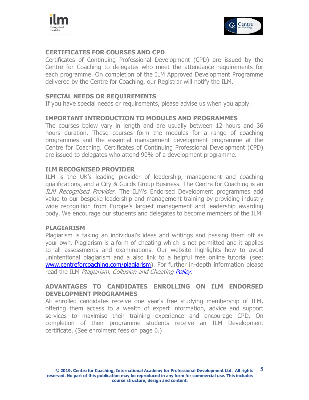



## **CERTIFICATES FOR COURSES AND CPD**

Certificates of Continuing Professional Development (CPD) are issued by the Centre for Coaching to delegates who meet the attendance requirements for each programme. On completion of the ILM Approved Development Programme delivered by the Centre for Coaching, our Registrar will notify the ILM.

## **SPECIAL NEEDS OR REQUIREMENTS**

If you have special needs or requirements, please advise us when you apply.

## **IMPORTANT INTRODUCTION TO MODULES AND PROGRAMMES**

The courses below vary in length and are usually between 12 hours and 36 hours duration. These courses form the modules for a range of coaching programmes and the essential management development programme at the Centre for Coaching. Certificates of Continuing Professional Development (CPD) are issued to delegates who attend 90% of a development programme.

## **ILM RECOGNISED PROVIDER**

ILM is the UK's leading provider of leadership, management and coaching qualifications, and a City & Guilds Group Business. The Centre for Coaching is an ILM Recognised Provider. The ILM's Endorsed Development programmes add value to our bespoke leadership and management training by providing industry wide recognition from Europe's largest management and leadership awarding body. We encourage our students and delegates to become members of the ILM.

#### **PLAGIARISM**

Plagiarism is taking an individual's ideas and writings and passing them off as your own. Plagiarism is a form of cheating which is not permitted and it applies to all assessments and examinations. Our website highlights how to avoid unintentional plagiarism and a also link to a helpful free online tutorial (see: [www.centreforcoaching.com/plagiarism\)](http://www.centreforcoaching.com/plagiarism). For further in-depth information please read the ILM Plagiarism, Collusion and Cheating [Policy](https://www.i-l-m.com/~/media/ILM%20Website/Sharepoint%20Documents/_Published%20Documents/ilm-policies-d8-plagiarism-collusion-and-cheating-policy.pdf.ashx).

## **ADVANTAGES TO CANDIDATES ENROLLING ON ILM ENDORSED DEVELOPMENT PROGRAMMES**

All enrolled candidates receive one year's free studying membership of ILM, offering them access to a wealth of expert information, advice and support services to maximise their training experience and encourage CPD. On completion of their programme students receive an ILM Development certificate. (See enrolment fees on page 6.)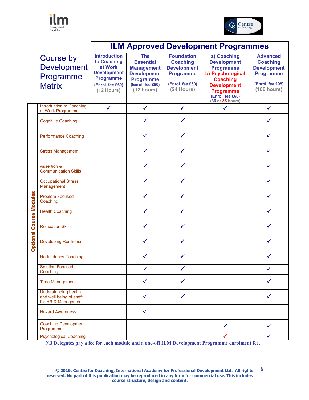



|                                |                                                                                | <b>ILM Approved Development Programmes</b>                                                                                  |                                                                                                                                 |                                                                                                                  |                                                                                                                                                                                |                                                                                                                 |
|--------------------------------|--------------------------------------------------------------------------------|-----------------------------------------------------------------------------------------------------------------------------|---------------------------------------------------------------------------------------------------------------------------------|------------------------------------------------------------------------------------------------------------------|--------------------------------------------------------------------------------------------------------------------------------------------------------------------------------|-----------------------------------------------------------------------------------------------------------------|
|                                | Course by<br><b>Development</b><br>Programme<br><b>Matrix</b>                  | <b>Introduction</b><br>to Coaching<br>at Work<br><b>Development</b><br><b>Programme</b><br>(Enrol. fee £60)<br>$(12$ Hours) | <b>The</b><br><b>Essential</b><br><b>Management</b><br><b>Development</b><br><b>Programme</b><br>(Enrol. fee £60)<br>(12 hours) | <b>Foundation</b><br><b>Coaching</b><br><b>Development</b><br><b>Programme</b><br>(Enrol. fee £60)<br>(24 Hours) | a) Coaching<br><b>Development</b><br><b>Programme</b><br>b) Psychological<br><b>Coaching</b><br><b>Development</b><br><b>Programme</b><br>(Enrol. fee £60)<br>(36 or 35 hours) | <b>Advanced</b><br><b>Coaching</b><br><b>Development</b><br><b>Programme</b><br>(Enrol. fee £95)<br>(106 hours) |
|                                | Introduction to Coaching<br>at Work Programme                                  | $\checkmark$                                                                                                                | $\checkmark$                                                                                                                    | $\checkmark$                                                                                                     | $\checkmark$                                                                                                                                                                   | $\checkmark$                                                                                                    |
| <b>Optional Course Modules</b> | <b>Cognitive Coaching</b>                                                      |                                                                                                                             | $\checkmark$                                                                                                                    | ✓                                                                                                                |                                                                                                                                                                                | $\checkmark$                                                                                                    |
|                                | <b>Performance Coaching</b>                                                    |                                                                                                                             | $\checkmark$                                                                                                                    |                                                                                                                  |                                                                                                                                                                                | ✓                                                                                                               |
|                                | <b>Stress Management</b>                                                       |                                                                                                                             | ✓                                                                                                                               | ✓                                                                                                                |                                                                                                                                                                                |                                                                                                                 |
|                                | <b>Assertion &amp;</b><br><b>Communication Skills</b>                          |                                                                                                                             |                                                                                                                                 | ✓                                                                                                                |                                                                                                                                                                                |                                                                                                                 |
|                                | <b>Occupational Stress</b><br>Management                                       |                                                                                                                             |                                                                                                                                 | ✓                                                                                                                |                                                                                                                                                                                |                                                                                                                 |
|                                | <b>Problem Focused</b><br>Coaching                                             |                                                                                                                             |                                                                                                                                 | ✓                                                                                                                |                                                                                                                                                                                |                                                                                                                 |
|                                | <b>Health Coaching</b>                                                         |                                                                                                                             | ✓                                                                                                                               | ✓                                                                                                                |                                                                                                                                                                                |                                                                                                                 |
|                                | <b>Relaxation Skills</b>                                                       |                                                                                                                             | ✓                                                                                                                               | ✓                                                                                                                |                                                                                                                                                                                |                                                                                                                 |
|                                | <b>Developing Resilience</b>                                                   |                                                                                                                             | ✓                                                                                                                               | ✓                                                                                                                |                                                                                                                                                                                |                                                                                                                 |
|                                | <b>Redundancy Coaching</b>                                                     |                                                                                                                             | ✓                                                                                                                               | ✓                                                                                                                |                                                                                                                                                                                |                                                                                                                 |
|                                | <b>Solution Focused</b><br>Coaching                                            |                                                                                                                             |                                                                                                                                 |                                                                                                                  |                                                                                                                                                                                |                                                                                                                 |
|                                | <b>Time Management</b>                                                         |                                                                                                                             | ✓                                                                                                                               |                                                                                                                  |                                                                                                                                                                                |                                                                                                                 |
|                                | <b>Understanding health</b><br>and well being of staff:<br>for HR & Management |                                                                                                                             | ✓                                                                                                                               | ✓                                                                                                                |                                                                                                                                                                                |                                                                                                                 |
|                                | <b>Hazard Awareness</b>                                                        |                                                                                                                             | ✓                                                                                                                               |                                                                                                                  |                                                                                                                                                                                |                                                                                                                 |
|                                | <b>Coaching Development</b><br>Programme                                       |                                                                                                                             |                                                                                                                                 |                                                                                                                  | ✓                                                                                                                                                                              |                                                                                                                 |
|                                | <b>Psychological Coaching</b>                                                  |                                                                                                                             |                                                                                                                                 |                                                                                                                  |                                                                                                                                                                                |                                                                                                                 |

**NB Delegates pay a fee for each module and a one-off ILM Development Programme enrolment fee.**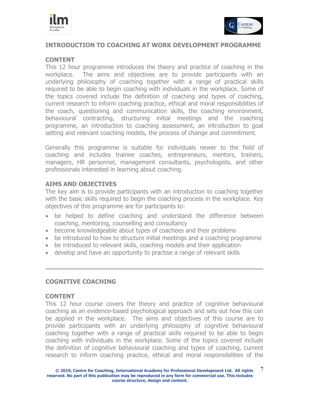



## **INTRODUCTION TO COACHING AT WORK DEVELOPMENT PROGRAMME**

### **CONTENT**

This 12 hour programme introduces the theory and practice of coaching in the workplace. The aims and objectives are to provide participants with an underlying philosophy of coaching together with a range of practical skills required to be able to begin coaching with individuals in the workplace. Some of the topics covered include the definition of coaching and types of coaching, current research to inform coaching practice, ethical and moral responsibilities of the coach, questioning and communication skills, the coaching environment, behavioural contracting, structuring initial meetings and the coaching programme, an introduction to coaching assessment, an introduction to goal setting and relevant coaching models, the process of change and commitment.

Generally this programme is suitable for individuals newer to the field of coaching and includes trainee coaches, entrepreneurs, mentors, trainers, managers, HR personnel, management consultants, psychologists, and other professionals interested in learning about coaching.

## **AIMS AND OBJECTIVES**

The key aim is to provide participants with an introduction to coaching together with the basic skills required to begin the coaching process in the workplace. Key objectives of this programme are for participants to:

- be helped to define coaching and understand the difference between coaching, mentoring, counselling and consultancy
- become knowledgeable about types of coachees and their problems
- be introduced to how to structure initial meetings and a coaching programme
- be introduced to relevant skills, coaching models and their application
- develop and have an opportunity to practise a range of relevant skills

## **COGNITIVE COACHING**

#### **CONTENT**

This 12 hour course covers the theory and practice of cognitive behavioural coaching as an evidence-based psychological approach and sets out how this can be applied in the workplace.The aims and objectives of this course are to provide participants with an underlying philosophy of cognitive behavioural coaching together with a range of practical skills required to be able to begin coaching with individuals in the workplace. Some of the topics covered include the definition of cognitive behavioural coaching and types of coaching, current research to inform coaching practice, ethical and moral responsibilities of the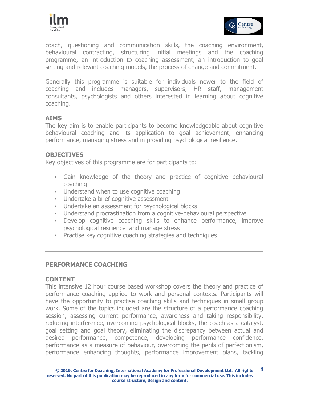



coach, questioning and communication skills, the coaching environment, behavioural contracting, structuring initial meetings and the coaching programme, an introduction to coaching assessment, an introduction to goal setting and relevant coaching models, the process of change and commitment.

Generally this programme is suitable for individuals newer to the field of coaching and includes managers, supervisors, HR staff, management consultants, psychologists and others interested in learning about cognitive coaching.

## **AIMS**

The key aim is to enable participants to become knowledgeable about cognitive behavioural coaching and its application to goal achievement, enhancing performance, managing stress and in providing psychological resilience.

## **OBJECTIVES**

Key objectives of this programme are for participants to:

- Gain knowledge of the theory and practice of cognitive behavioural coaching
- Understand when to use cognitive coaching
- Undertake a brief cognitive assessment
- Undertake an assessment for psychological blocks
- Understand procrastination from a cognitive-behavioural perspective
- Develop cognitive coaching skills to enhance performance, improve psychological resilience and manage stress
- Practise key cognitive coaching strategies and techniques

## **PERFORMANCE COACHING**

#### **CONTENT**

This intensive 12 hour course based workshop covers the theory and practice of performance coaching applied to work and personal contexts. Participants will have the opportunity to practise coaching skills and techniques in small group work. Some of the topics included are the structure of a performance coaching session, assessing current performance, awareness and taking responsibility, reducing interference, overcoming psychological blocks, the coach as a catalyst, goal setting and goal theory, eliminating the discrepancy between actual and desired performance, competence, developing performance confidence, performance as a measure of behaviour, overcoming the perils of perfectionism, performance enhancing thoughts, performance improvement plans, tackling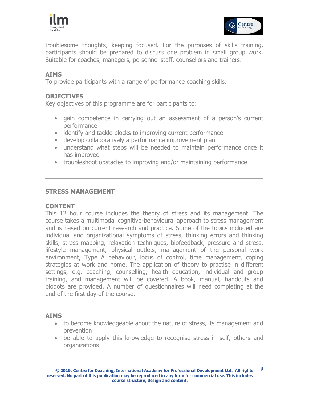



troublesome thoughts, keeping focused. For the purposes of skills training, participants should be prepared to discuss one problem in small group work. Suitable for coaches, managers, personnel staff, counsellors and trainers.

## **AIMS**

To provide participants with a range of performance coaching skills.

## **OBJECTIVES**

Key objectives of this programme are for participants to:

- gain competence in carrying out an assessment of a person's current performance
- identify and tackle blocks to improving current performance
- develop collaboratively a performance improvement plan
- understand what steps will be needed to maintain performance once it has improved
- troubleshoot obstacles to improving and/or maintaining performance

## **STRESS MANAGEMENT**

## **CONTENT**

This 12 hour course includes the theory of stress and its management. The course takes a multimodal cognitive-behavioural approach to stress management and is based on current research and practice. Some of the topics included are individual and organizational symptoms of stress, thinking errors and thinking skills, stress mapping, relaxation techniques, biofeedback, pressure and stress, lifestyle management, physical outlets, management of the personal work environment, Type A behaviour, locus of control, time management, coping strategies at work and home. The application of theory to practise in different settings, e.g. coaching, counselling, health education, individual and group training, and management will be covered. A book, manual, handouts and biodots are provided. A number of questionnaires will need completing at the end of the first day of the course.

#### **AIMS**

- to become knowledgeable about the nature of stress, its management and prevention
- be able to apply this knowledge to recognise stress in self, others and organizations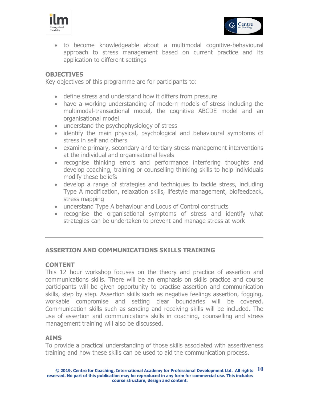



 to become knowledgeable about a multimodal cognitive-behavioural approach to stress management based on current practice and its application to different settings

## **OBJECTIVES**

Key objectives of this programme are for participants to:

- define stress and understand how it differs from pressure
- have a working understanding of modern models of stress including the multimodal-transactional model, the cognitive ABCDE model and an organisational model
- understand the psychophysiology of stress
- identify the main physical, psychological and behavioural symptoms of stress in self and others
- examine primary, secondary and tertiary stress management interventions at the individual and organisational levels
- recognise thinking errors and performance interfering thoughts and develop coaching, training or counselling thinking skills to help individuals modify these beliefs
- develop a range of strategies and techniques to tackle stress, including Type A modification, relaxation skills, lifestyle management, biofeedback, stress mapping
- understand Type A behaviour and Locus of Control constructs
- recognise the organisational symptoms of stress and identify what strategies can be undertaken to prevent and manage stress at work

#### **ASSERTION AND COMMUNICATIONS SKILLS TRAINING**

#### **CONTENT**

This 12 hour workshop focuses on the theory and practice of assertion and communications skills. There will be an emphasis on skills practice and course participants will be given opportunity to practise assertion and communication skills, step by step. Assertion skills such as negative feelings assertion, fogging, workable compromise and setting clear boundaries will be covered. Communication skills such as sending and receiving skills will be included. The use of assertion and communications skills in coaching, counselling and stress management training will also be discussed.

#### **AIMS**

To provide a practical understanding of those skills associated with assertiveness training and how these skills can be used to aid the communication process.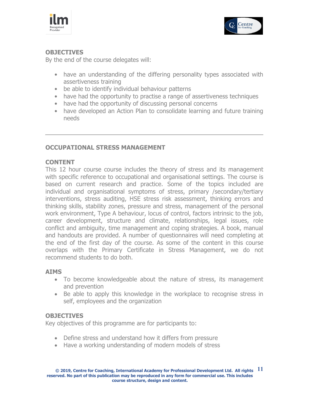



## **OBJECTIVES**

By the end of the course delegates will:

- have an understanding of the differing personality types associated with assertiveness training
- be able to identify individual behaviour patterns
- have had the opportunity to practise a range of assertiveness techniques
- have had the opportunity of discussing personal concerns
- have developed an Action Plan to consolidate learning and future training needs

## **OCCUPATIONAL STRESS MANAGEMENT**

## **CONTENT**

This 12 hour course course includes the theory of stress and its management with specific reference to occupational and organisational settings. The course is based on current research and practice. Some of the topics included are individual and organisational symptoms of stress, primary /secondary/tertiary interventions, stress auditing, HSE stress risk assessment, thinking errors and thinking skills, stability zones, pressure and stress, management of the personal work environment, Type A behaviour, locus of control, factors intrinsic to the job, career development, structure and climate, relationships, legal issues, role conflict and ambiguity, time management and coping strategies. A book, manual and handouts are provided. A number of questionnaires will need completing at the end of the first day of the course. As some of the content in this course overlaps with the Primary Certificate in Stress Management, we do not recommend students to do both.

#### **AIMS**

- To become knowledgeable about the nature of stress, its management and prevention
- Be able to apply this knowledge in the workplace to recognise stress in self, employees and the organization

## **OBJECTIVES**

Key objectives of this programme are for participants to:

- Define stress and understand how it differs from pressure
- Have a working understanding of modern models of stress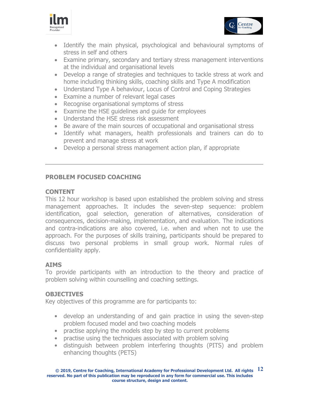



- Identify the main physical, psychological and behavioural symptoms of stress in self and others
- Examine primary, secondary and tertiary stress management interventions at the individual and organisational levels
- Develop a range of strategies and techniques to tackle stress at work and home including thinking skills, coaching skills and Type A modification
- Understand Type A behaviour, Locus of Control and Coping Strategies
- Examine a number of relevant legal cases
- Recognise organisational symptoms of stress
- Examine the HSE guidelines and guide for employees
- Understand the HSE stress risk assessment
- Be aware of the main sources of occupational and organisational stress
- Identify what managers, health professionals and trainers can do to prevent and manage stress at work
- Develop a personal stress management action plan, if appropriate

## **PROBLEM FOCUSED COACHING**

## **CONTENT**

This 12 hour workshop is based upon established the problem solving and stress management approaches. It includes the seven-step sequence: problem identification, goal selection, generation of alternatives, consideration of consequences, decision-making, implementation, and evaluation. The indications and contra-indications are also covered, i.e. when and when not to use the approach. For the purposes of skills training, participants should be prepared to discuss two personal problems in small group work. Normal rules of confidentiality apply.

## **AIMS**

To provide participants with an introduction to the theory and practice of problem solving within counselling and coaching settings.

## **OBJECTIVES**

Key objectives of this programme are for participants to:

- develop an understanding of and gain practice in using the seven-step problem focused model and two coaching models
- practise applying the models step by step to current problems
- practise using the techniques associated with problem solving
- distinguish between problem interfering thoughts (PITS) and problem enhancing thoughts (PETS)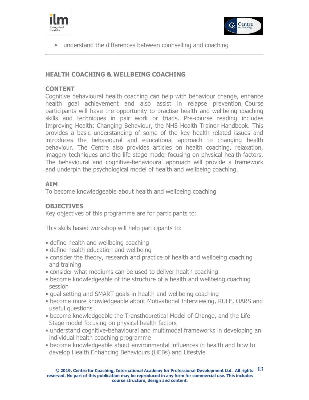



• understand the differences between counselling and coaching

## **HEALTH COACHING & WELLBEING COACHING**

## **CONTENT**

Cognitive behavioural health coaching can help with behaviour change, enhance health goal achievement and also assist in relapse prevention. Course participants will have the opportunity to practise health and wellbeing coaching skills and techniques in pair work or triads. Pre-course reading includes Improving Health: Changing Behaviour, the NHS Health Trainer Handbook. This provides a basic understanding of some of the key health related issues and introduces the behavioural and educational approach to changing health behaviour. The Centre also provides articles on health coaching, relaxation, imagery techniques and the life stage model focusing on physical health factors. The behavioural and cognitive-behavioural approach will provide a framework and underpin the psychological model of health and wellbeing coaching.

## **AIM**

To become knowledgeable about health and wellbeing coaching

## **OBJECTIVES**

Key objectives of this programme are for participants to:

This skills based workshop will help participants to:

- define health and wellbeing coaching
- define health education and wellbeing
- consider the theory, research and practice of health and wellbeing coaching and training
- consider what mediums can be used to deliver health coaching
- become knowledgeable of the structure of a health and wellbeing coaching session
- goal setting and SMART goals in health and wellbeing coaching
- become more knowledgeable about Motivational Interviewing, RULE, OARS and useful questions
- become knowledgeable the Transtheoretical Model of Change, and the Life Stage model focusing on physical health factors
- understand cognitive-behavioural and multimodal frameworks in developing an individual health coaching programme
- become knowledgeable about environmental influences in health and how to develop Health Enhancing Behaviours (HEBs) and Lifestyle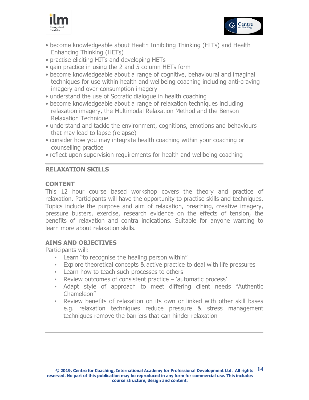



- become knowledgeable about Health Inhibiting Thinking (HITs) and Health Enhancing Thinking (HETs)
- practise eliciting HITs and developing HETs
- gain practice in using the 2 and 5 column HETs form
- become knowledgeable about a range of cognitive, behavioural and imaginal techniques for use within health and wellbeing coaching including anti-craving imagery and over-consumption imagery
- understand the use of Socratic dialogue in health coaching
- become knowledgeable about a range of relaxation techniques including relaxation imagery, the Multimodal Relaxation Method and the Benson Relaxation Technique
- understand and tackle the environment, cognitions, emotions and behaviours that may lead to lapse (relapse)
- consider how you may integrate health coaching within your coaching or counselling practice
- reflect upon supervision requirements for health and wellbeing coaching

## **RELAXATION SKILLS**

## **CONTENT**

This 12 hour course based workshop covers the theory and practice of relaxation. Participants will have the opportunity to practise skills and techniques. Topics include the purpose and aim of relaxation, breathing, creative imagery, pressure busters, exercise, research evidence on the effects of tension, the benefits of relaxation and contra indications. Suitable for anyone wanting to learn more about relaxation skills.

## **AIMS AND OBJECTIVES**

Participants will:

- Learn "to recognise the healing person within"
- Explore theoretical concepts & active practice to deal with life pressures
- Learn how to teach such processes to others
- Review outcomes of consistent practice 'automatic process'
- Adapt style of approach to meet differing client needs "Authentic Chameleon"
- Review benefits of relaxation on its own or linked with other skill bases e.g. relaxation techniques reduce pressure & stress management techniques remove the barriers that can hinder relaxation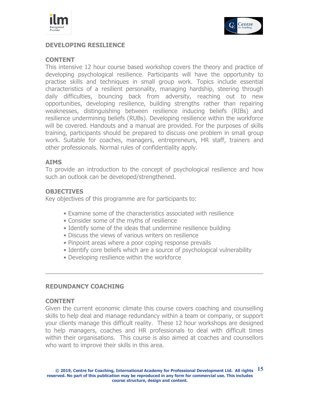



## **DEVELOPING RESILIENCE**

#### **CONTENT**

This intensive 12 hour course based workshop covers the theory and practice of developing psychological resilience. Participants will have the opportunity to practise skills and techniques in small group work. Topics include essential characteristics of a resilient personality, managing hardship, steering through daily difficulties, bouncing back from adversity, reaching out to new opportunities, developing resilience, building strengths rather than repairing weaknesses, distinguishing between resilience inducing beliefs (RIBs) and resilience undermining beliefs (RUBs). Developing resilience within the workforce will be covered. Handouts and a manual are provided. For the purposes of skills training, participants should be prepared to discuss one problem in small group work. Suitable for coaches, managers, entrepreneurs, HR staff, trainers and other professionals. Normal rules of confidentiality apply.

#### **AIMS**

To provide an introduction to the concept of psychological resilience and how such an outlook can be developed/strengthened.

#### **OBJECTIVES**

Key objectives of this programme are for participants to:

- Examine some of the characteristics associated with resilience
- Consider some of the myths of resilience
- Identify some of the ideas that undermine resilience building
- Discuss the views of various writers on resilience
- Pinpoint areas where a poor coping response prevails
- Identify core beliefs which are a source of psychological vulnerability
- Developing resilience within the workforce

### **REDUNDANCY COACHING**

#### **CONTENT**

Given the current economic climate this course covers coaching and counselling skills to help deal and manage redundancy within a team or company, or support your clients manage this difficult reality. These 12 hour workshops are designed to help managers, coaches and HR professionals to deal with difficult times within their organisations. This course is also aimed at coaches and counsellors who want to improve their skills in this area.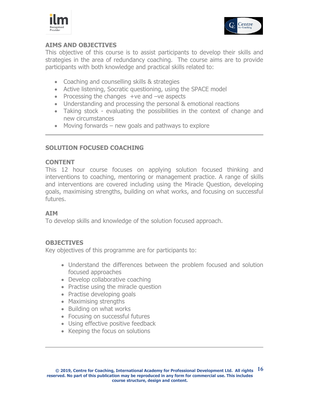



## **AIMS AND OBJECTIVES**

This objective of this course is to assist participants to develop their skills and strategies in the area of redundancy coaching. The course aims are to provide participants with both knowledge and practical skills related to:

- Coaching and counselling skills & strategies
- Active listening, Socratic questioning, using the SPACE model
- Processing the changes +ve and -ve aspects
- Understanding and processing the personal & emotional reactions
- Taking stock evaluating the possibilities in the context of change and new circumstances
- $\bullet$  Moving forwards new goals and pathways to explore

## **SOLUTION FOCUSED COACHING**

## **CONTENT**

This 12 hour course focuses on applying solution focused thinking and interventions to coaching, mentoring or management practice. A range of skills and interventions are covered including using the Miracle Question, developing goals, maximising strengths, building on what works, and focusing on successful futures.

## **AIM**

To develop skills and knowledge of the solution focused approach.

## **OBJECTIVES**

Key objectives of this programme are for participants to:

- Understand the differences between the problem focused and solution focused approaches
- Develop collaborative coaching
- Practise using the miracle question
- Practise developing goals
- Maximising strengths
- Building on what works
- Focusing on successful futures
- Using effective positive feedback
- Keeping the focus on solutions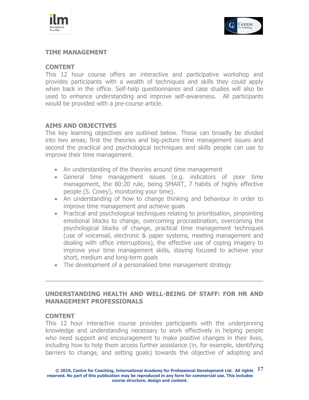



## **TIME MANAGEMENT**

## **CONTENT**

This 12 hour course offers an interactive and participative workshop and provides participants with a wealth of techniques and skills they could apply when back in the office. Self-help questionnaires and case studies will also be used to enhance understanding and improve self-awareness. All participants would be provided with a pre-course article.

## **AIMS AND OBJECTIVES**

The key learning objectives are outlined below. These can broadly be divided into two areas; first the theories and big-picture time management issues and second the practical and psychological techniques and skills people can use to improve their time management.

- An understanding of the theories around time management
- General time management issues (e.g. indicators of poor time management, the 80:20 rule, being SMART, 7 habits of highly effective people (S. Covey), monitoring your time).
- An understanding of how to change thinking and behaviour in order to improve time management and achieve goals
- Practical and psychological techniques relating to prioritisation, pinpointing emotional blocks to change, overcoming procrastination, overcoming the psychological blocks of change, practical time management techniques (use of voicemail, electronic & paper systems, meeting management and dealing with office interruptions), the effective use of coping imagery to improve your time management skills, staying focused to achieve your short, medium and long-term goals
- The development of a personalised time management strategy

## **UNDERSTANDING HEALTH AND WELL-BEING OF STAFF: FOR HR AND MANAGEMENT PROFESSIONALS**

#### **CONTENT**

This 12 hour interactive course provides participants with the underpinning knowledge and understanding necessary to work effectively in helping people who need support and encouragement to make positive changes in their lives, including how to help them access further assistance (in, for example, identifying barriers to change, and setting goals) towards the objective of adopting and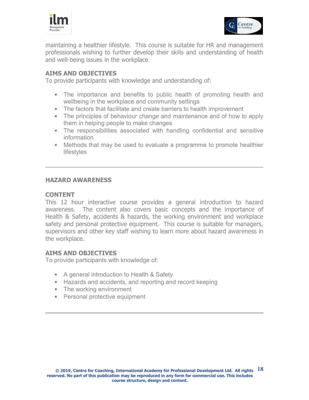



maintaining a healthier lifestyle. This course is suitable for HR and management professionals wishing to further develop their skills and understanding of health and well-being issues in the workplace.

## **AIMS AND OBJECTIVES**

To provide participants with knowledge and understanding of:

- The importance and benefits to public health of promoting health and wellbeing in the workplace and community settings
- The factors that facilitate and create barriers to health improvement
- The principles of behaviour change and maintenance and of how to apply them in helping people to make changes
- The responsibilities associated with handling confidential and sensitive information
- Methods that may be used to evaluate a programme to promote healthier lifestyles

## **HAZARD AWARENESS**

#### **CONTENT**

This 12 hour interactive course provides a general introduction to hazard awareness. The content also covers basic concepts and the importance of Health & Safety, accidents & hazards, the working environment and workplace safety and personal protective equipment. This course is suitable for managers, supervisors and other key staff wishing to learn more about hazard awareness in the workplace.

#### **AIMS AND OBJECTIVES**

To provide participants with knowledge of:

- A general introduction to Health & Safety
- Hazards and accidents, and reporting and record keeping
- The working environment
- Personal protective equipment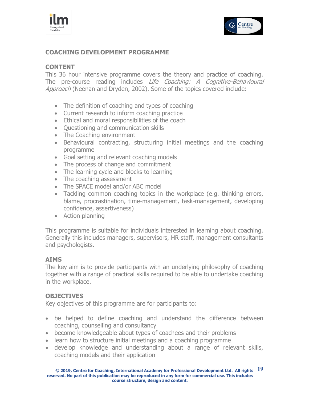



## **COACHING DEVELOPMENT PROGRAMME**

## **CONTENT**

This 36 hour intensive programme covers the theory and practice of coaching. The pre-course reading includes *Life Coaching: A Cognitive-Behavioural* Approach (Neenan and Dryden, 2002). Some of the topics covered include:

- The definition of coaching and types of coaching
- Current research to inform coaching practice
- Ethical and moral responsibilities of the coach
- Questioning and communication skills
- The Coaching environment
- Behavioural contracting, structuring initial meetings and the coaching programme
- Goal setting and relevant coaching models
- The process of change and commitment
- The learning cycle and blocks to learning
- The coaching assessment
- The SPACE model and/or ABC model
- Tackling common coaching topics in the workplace (e.g. thinking errors, blame, procrastination, time-management, task-management, developing confidence, assertiveness)
- Action planning

This programme is suitable for individuals interested in learning about coaching. Generally this includes managers, supervisors, HR staff, management consultants and psychologists.

## **AIMS**

The key aim is to provide participants with an underlying philosophy of coaching together with a range of practical skills required to be able to undertake coaching in the workplace.

## **OBJECTIVES**

Key objectives of this programme are for participants to:

- be helped to define coaching and understand the difference between coaching, counselling and consultancy
- become knowledgeable about types of coachees and their problems
- learn how to structure initial meetings and a coaching programme
- develop knowledge and understanding about a range of relevant skills, coaching models and their application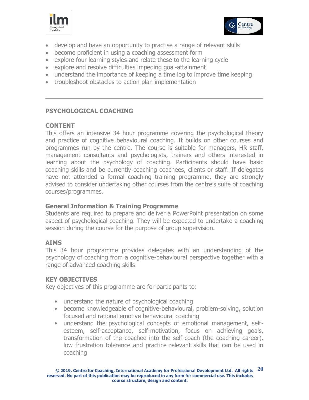



- develop and have an opportunity to practise a range of relevant skills
- become proficient in using a coaching assessment form
- explore four learning styles and relate these to the learning cycle
- explore and resolve difficulties impeding goal-attainment
- understand the importance of keeping a time log to improve time keeping
- troubleshoot obstacles to action plan implementation

## **PSYCHOLOGICAL COACHING**

## **CONTENT**

This offers an intensive 34 hour programme covering the psychological theory and practice of cognitive behavioural coaching. It builds on other courses and programmes run by the centre. The course is suitable for managers, HR staff, management consultants and psychologists, trainers and others interested in learning about the psychology of coaching. Participants should have basic coaching skills and be currently coaching coachees, clients or staff. If delegates have not attended a formal coaching training programme, they are strongly advised to consider undertaking other courses from the centre's suite of coaching courses/programmes.

## **General Information & Training Programme**

Students are required to prepare and deliver a PowerPoint presentation on some aspect of psychological coaching. They will be expected to undertake a coaching session during the course for the purpose of group supervision.

## **AIMS**

This 34 hour programme provides delegates with an understanding of the psychology of coaching from a cognitive-behavioural perspective together with a range of advanced coaching skills.

## **KEY OBJECTIVES**

Key objectives of this programme are for participants to:

- understand the nature of psychological coaching
- become knowledgeable of cognitive-behavioural, problem-solving, solution focused and rational emotive behavioural coaching
- understand the psychological concepts of emotional management, selfesteem, self-acceptance, self-motivation, focus on achieving goals, transformation of the coachee into the self-coach (the coaching career), low frustration tolerance and practice relevant skills that can be used in coaching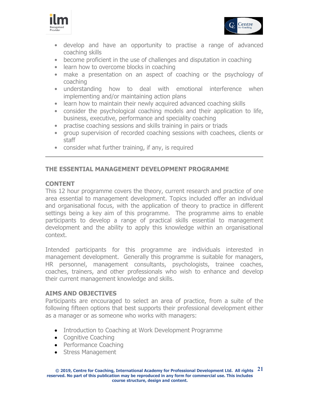



- develop and have an opportunity to practise a range of advanced coaching skills
- become proficient in the use of challenges and disputation in coaching
- learn how to overcome blocks in coaching
- make a presentation on an aspect of coaching or the psychology of coaching
- understanding how to deal with emotional interference when implementing and/or maintaining action plans
- learn how to maintain their newly acquired advanced coaching skills
- consider the psychological coaching models and their application to life, business, executive, performance and speciality coaching
- practise coaching sessions and skills training in pairs or triads
- group supervision of recorded coaching sessions with coachees, clients or staff
- consider what further training, if any, is required

## **THE ESSENTIAL MANAGEMENT DEVELOPMENT PROGRAMME**

## **CONTENT**

This 12 hour programme covers the theory, current research and practice of one area essential to management development. Topics included offer an individual and organisational focus, with the application of theory to practice in different settings being a key aim of this programme. The programme aims to enable participants to develop a range of practical skills essential to management development and the ability to apply this knowledge within an organisational context.

Intended participants for this programme are individuals interested in management development. Generally this programme is suitable for managers, HR personnel, management consultants, psychologists, trainee coaches, coaches, trainers, and other professionals who wish to enhance and develop their current management knowledge and skills.

## **AIMS AND OBJECTIVES**

Participants are encouraged to select an area of practice, from a suite of the following fifteen options that best supports their professional development either as a manager or as someone who works with managers:

- Introduction to Coaching at Work Development Programme
- Cognitive Coaching
- Performance Coaching
- Stress Management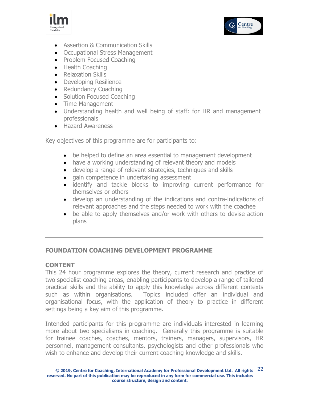



- Assertion & Communication Skills
- Occupational Stress Management
- Problem Focused Coaching
- Health Coaching
- Relaxation Skills
- Developing Resilience
- Redundancy Coaching
- Solution Focused Coaching
- Time Management
- Understanding health and well being of staff: for HR and management professionals
- **•** Hazard Awareness

Key objectives of this programme are for participants to:

- be helped to define an area essential to management development
- have a working understanding of relevant theory and models
- develop a range of relevant strategies, techniques and skills
- gain competence in undertaking assessment
- identify and tackle blocks to improving current performance for themselves or others
- develop an understanding of the indications and contra-indications of relevant approaches and the steps needed to work with the coachee
- be able to apply themselves and/or work with others to devise action plans

## **FOUNDATION COACHING DEVELOPMENT PROGRAMME**

## **CONTENT**

This 24 hour programme explores the theory, current research and practice of two specialist coaching areas, enabling participants to develop a range of tailored practical skills and the ability to apply this knowledge across different contexts such as within organisations. Topics included offer an individual and organisational focus, with the application of theory to practice in different settings being a key aim of this programme.

Intended participants for this programme are individuals interested in learning more about two specialisms in coaching. Generally this programme is suitable for trainee coaches, coaches, mentors, trainers, managers, supervisors, HR personnel, management consultants, psychologists and other professionals who wish to enhance and develop their current coaching knowledge and skills.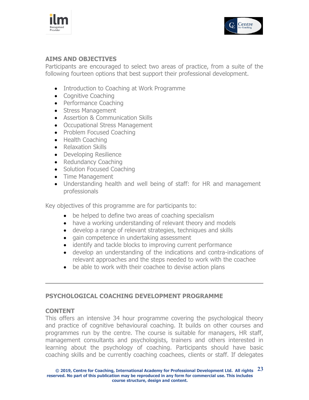



## **AIMS AND OBJECTIVES**

Participants are encouraged to select two areas of practice, from a suite of the following fourteen options that best support their professional development.

- Introduction to Coaching at Work Programme
- Cognitive Coaching
- Performance Coaching
- Stress Management
- Assertion & Communication Skills
- Occupational Stress Management
- Problem Focused Coaching
- Health Coaching
- Relaxation Skills
- Developing Resilience
- Redundancy Coaching
- Solution Focused Coaching
- Time Management
- Understanding health and well being of staff: for HR and management professionals

Key objectives of this programme are for participants to:

- be helped to define two areas of coaching specialism
- have a working understanding of relevant theory and models
- develop a range of relevant strategies, techniques and skills
- gain competence in undertaking assessment
- identify and tackle blocks to improving current performance
- develop an understanding of the indications and contra-indications of relevant approaches and the steps needed to work with the coachee
- be able to work with their coachee to devise action plans

## **PSYCHOLOGICAL COACHING DEVELOPMENT PROGRAMME**

## **CONTENT**

This offers an intensive 34 hour programme covering the psychological theory and practice of cognitive behavioural coaching. It builds on other courses and programmes run by the centre. The course is suitable for managers, HR staff, management consultants and psychologists, trainers and others interested in learning about the psychology of coaching. Participants should have basic coaching skills and be currently coaching coachees, clients or staff. If delegates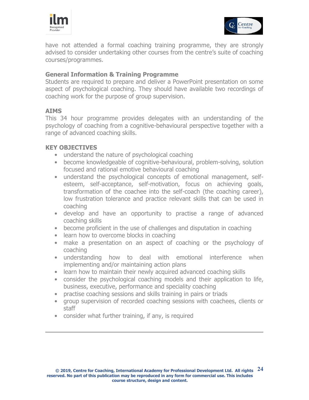



have not attended a formal coaching training programme, they are strongly advised to consider undertaking other courses from the centre's suite of coaching courses/programmes.

## **General Information & Training Programme**

Students are required to prepare and deliver a PowerPoint presentation on some aspect of psychological coaching. They should have available two recordings of coaching work for the purpose of group supervision.

## **AIMS**

This 34 hour programme provides delegates with an understanding of the psychology of coaching from a cognitive-behavioural perspective together with a range of advanced coaching skills.

## **KEY OBJECTIVES**

- understand the nature of psychological coaching
- become knowledgeable of cognitive-behavioural, problem-solving, solution focused and rational emotive behavioural coaching
- understand the psychological concepts of emotional management, selfesteem, self-acceptance, self-motivation, focus on achieving goals, transformation of the coachee into the self-coach (the coaching career), low frustration tolerance and practice relevant skills that can be used in coaching
- develop and have an opportunity to practise a range of advanced coaching skills
- become proficient in the use of challenges and disputation in coaching
- learn how to overcome blocks in coaching
- make a presentation on an aspect of coaching or the psychology of coaching
- understanding how to deal with emotional interference when implementing and/or maintaining action plans
- learn how to maintain their newly acquired advanced coaching skills
- consider the psychological coaching models and their application to life, business, executive, performance and speciality coaching
- practise coaching sessions and skills training in pairs or triads
- group supervision of recorded coaching sessions with coachees, clients or staff
- consider what further training, if any, is required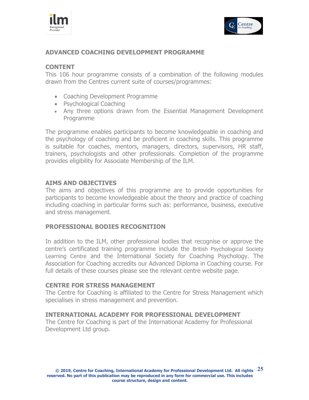



## **ADVANCED COACHING DEVELOPMENT PROGRAMME**

## **CONTENT**

This 106 hour programme consists of a combination of the following modules drawn from the Centres current suite of courses/programmes:

- Coaching Development Programme
- Psychological Coaching
- Any three options drawn from the Essential Management Development Programme

The programme enables participants to become knowledgeable in coaching and the psychology of coaching and be proficient in coaching skills. This programme is suitable for coaches, mentors, managers, directors, supervisors, HR staff, trainers, psychologists and other professionals. Completion of the programme provides eligibility for Associate Membership of the ILM.

## **AIMS AND OBJECTIVES**

The aims and objectives of this programme are to provide opportunities for participants to become knowledgeable about the theory and practice of coaching including coaching in particular forms such as: performance, business, executive and stress management.

#### **PROFESSIONAL BODIES RECOGNITION**

In addition to the ILM, other professional bodies that recognise or approve the centre's certificated training programme include the British Psychological Society Learning Centre and the International Society for Coaching Psychology. The Association for Coaching accredits our Advanced Diploma in Coaching course. For full details of these courses please see the relevant centre website page.

#### **CENTRE FOR STRESS MANAGEMENT**

The Centre for Coaching is affiliated to the Centre for Stress Management which specialises in stress management and prevention.

## **INTERNATIONAL ACADEMY FOR PROFESSIONAL DEVELOPMENT**

The Centre for Coaching is part of the International Academy for Professional Development Ltd group.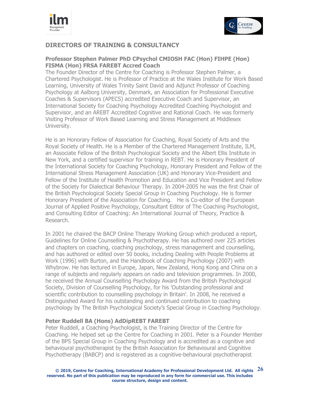



## **DIRECTORS OF TRAINING & CONSULTANCY**

#### **Professor Stephen Palmer PhD CPsychol CMIOSH FAC (Hon) FIHPE (Hon) FISMA (Hon) FRSA FAREBT Accred Coach**

The Founder Director of the Centre for Coaching is Professor Stephen Palmer, a Chartered Psychologist. He is Professor of Practice at the Wales Institute for Work Based Learning, University of Wales Trinity Saint David and Adjunct Professor of Coaching Psychology at Aalborg University, Denmark, an Association for Professional Executive Coaches & Supervisors (APECS) accredited Executive Coach and Supervisor, an International Society for Coaching Psychology Accredited Coaching Psychologist and Supervisor, and an AREBT Accredited Cognitive and Rational Coach. He was formerly Visiting Professor of Work Based Learning and Stress Management at Middlesex University.

He is an Honorary Fellow of Association for Coaching, Royal Society of Arts and the Royal Society of Health. He is a Member of the Chartered Management Institute, ILM, an Associate Fellow of the British Psychological Society and the Albert Ellis Institute in New York, and a certified supervisor for training in REBT. He is Honorary President of the International Society for Coaching Psychology, Honorary President and Fellow of the International Stress Management Association (UK) and Honorary Vice-President and Fellow of the Institute of Health Promotion and Education and Vice President and Fellow of the Society for Dialectical Behaviour Therapy. In 2004-2005 he was the first Chair of the British Psychological Society Special Group in Coaching Psychology. He is former Honorary President of the Association for Coaching. He is Co-editor of the European Journal of Applied Positive Psychology, Consultant Editor of The Coaching Psychologist, and Consulting Editor of Coaching: An International Journal of Theory, Practice & Research.

In 2001 he chaired the BACP Online Therapy Working Group which produced a report, Guidelines for Online Counselling & Psychotherapy. He has authored over 225 articles and chapters on coaching, coaching psychology, stress management and counselling, and has authored or edited over 50 books, including Dealing with People Problems at Work (1996) with Burton, and the Handbook of Coaching Psychology (2007) with Whybrow. He has lectured in Europe, Japan, New Zealand, Hong Kong and China on a range of subjects and regularly appears on radio and television programmes. In 2000, he received the Annual Counselling Psychology Award from the British Psychological Society, Division of Counselling Psychology, for his 'Outstanding professional and scientific contribution to counselling psychology in Britain'. In 2008, he received a Distinguished Award for his outstanding and continued contribution to coaching psychology by The British Psychological Society's Special Group in Coaching Psychology.

#### **Peter Ruddell BA (Hons) AdDipREBT FAREBT**

Peter Ruddell, a Coaching Psychologist, is the Training Director of the Centre for Coaching. He helped set up the Centre for Coaching in 2001. Peter is a Founder Member of the BPS Special Group in Coaching Psychology and is accredited as a cognitive and behavioural psychotherapist by the British Association for Behavioural and Cognitive Psychotherapy (BABCP) and is registered as a cognitive-behavioural psychotherapist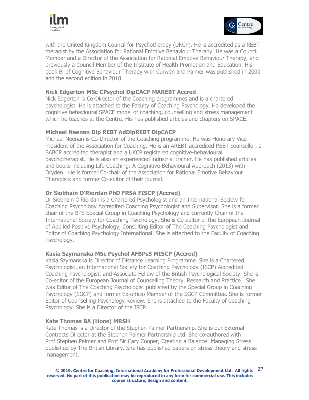



with the United Kingdom Council for Psychotherapy (UKCP). He is accredited as a REBT therapist by the Association for Rational Emotive Behaviour Therapy. He was a Council Member and a Director of the Association for Rational Emotive Behaviour Therapy, and previously a Council Member of the Institute of Health Promotion and Education. His book Brief Cognitive Behaviour Therapy with Curwen and Palmer was published in 2000 and the second edition in 2018.

#### **Nick Edgerton MSc CPsychol DipCACP MAREBT Accred**

Nick Edgerton is Co-Director of the Coaching programmes and is a chartered psychologist. He is attached to the Faculty of Coaching Psychology. He developed the cognitive behavioural SPACE model of coaching, counselling and stress management which he teaches at the Centre. His has published articles and chapters on SPACE.

#### **Michael Neenan Dip REBT AdDipREBT DipCACP**

Michael Neenan is Co-Director of the Coaching programme. He was Honorary Vice President of the Association for Coaching. He is an AREBT accredited REBT counsellor, a BABCP accredited therapist and a UKCP registered cognitive-behavioural psychotherapist. He is also an experienced industrial trainer. He has published articles and books including Life Coaching: A Cognitive Behavioural Approach (2013) with Dryden. He is former Co-chair of the Association for Rational Emotive Behaviour Therapists and former Co-editor of their journal.

#### **Dr Siobhain O'Riordan PhD FRSA FISCP (Accred)**

Dr Siobhain O'Riordan is a Chartered Psychologist and an International Society for Coaching Psychology Accredited Coaching Psychologist and Supervisor. She is a former chair of the BPS Special Group in Coaching Psychology and currently Chair of the International Society for Coaching Psychology. She is Co-editor of the European Journal of Applied Positive Psychology, Consulting Editor of The Coaching Psychologist and Editor of Coaching Psychology International. She is attached to the Faculty of Coaching Psychology.

#### **Kasia Szymanska MSc Psychol AFBPsS MISCP (Accred)**

Kasia Szymanska is Director of Distance Learning Programme. She is a Chartered Psychologist, an International Society for Coaching Psychology (ISCP) Accredited Coaching Psychologist, and Associate Fellow of the British Psychological Society. She is Co-editor of the European Journal of Counselling Theory, Research and Practice. She was Editor of The Coaching Psychologist published by the Special Group in Coaching Psychology (SGCP) and former Ex-officio Member of the SGCP Committee. She is former Editor of Counselling Psychology Review. She is attached to the Faculty of Coaching Psychology. She is a Director of the ISCP.

#### **Kate Thomas BA (Hons) MRSH**

Kate Thomas is a Director of the Stephen Palmer Partnership. She is our External Contracts Director at the Stephen Palmer Partnership Ltd. She co-authored with Prof Stephen Palmer and Prof Sir Cary Cooper, Creating a Balance: Managing Stress published by The British Library. She has published papers on stress theory and stress management.